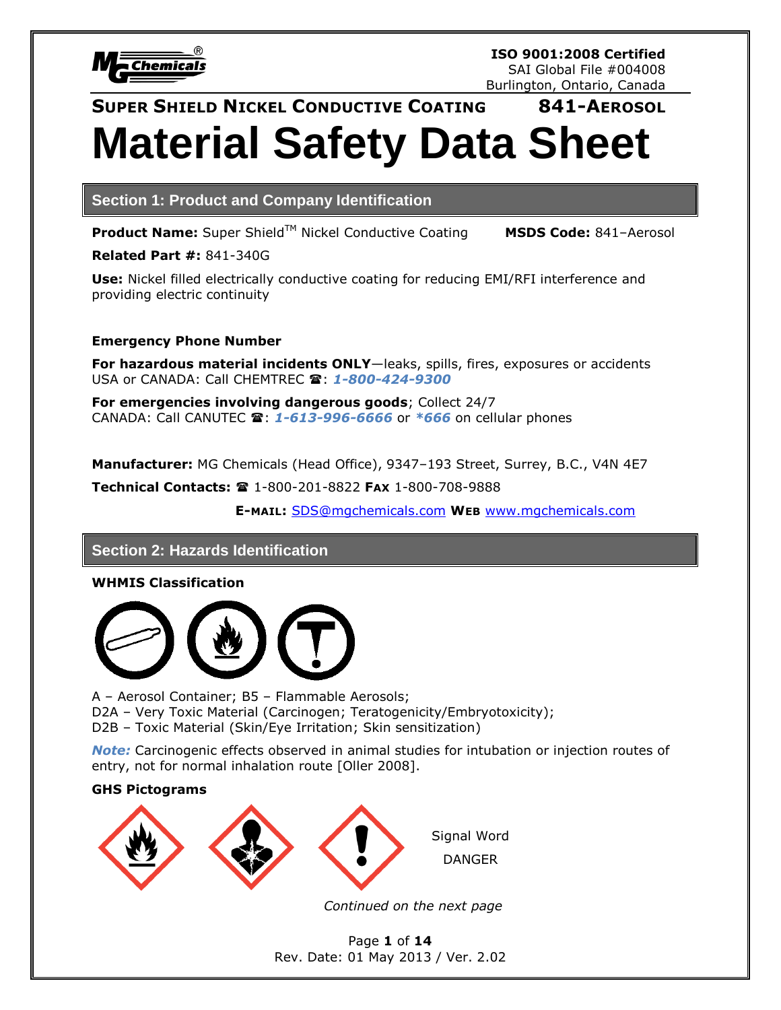

# **SUPER SHIELD NICKEL CONDUCTIVE COATING 841-AEROSOL Material Safety Data Sheet**

**Section 1: Product and Company Identification**

**Product Name:** Super Shield™ Nickel Conductive Coating **MSDS Code:** 841-Aerosol

**Related Part #:** 841-340G

**Use:** Nickel filled electrically conductive coating for reducing EMI/RFI interference and providing electric continuity

### **Emergency Phone Number**

**For hazardous material incidents ONLY**—leaks, spills, fires, exposures or accidents USA or CANADA: Call CHEMTREC  $\mathbf{\hat{a}}$ : **1-800-424-9300** 

**For emergencies involving dangerous goods**; Collect 24/7 CANADA: Call CANUTEC : *1-613-996-6666* or *\*666* on cellular phones

**Manufacturer:** MG Chemicals (Head Office), 9347–193 Street, Surrey, B.C., V4N 4E7

**Technical Contacts:**  1-800-201-8822 **FAX** 1-800-708-9888

**E-MAIL:** [SDS@mgchemicals.com](mailto:SDS@mgchemicals.com) **WEB** [www.mgchemicals.com](http://www.mgchemicals.com/)

## **Section 2: Hazards Identification**

**WHMIS Classification**



A – Aerosol Container; B5 – Flammable Aerosols; D2A – Very Toxic Material (Carcinogen; Teratogenicity/Embryotoxicity); D2B – Toxic Material (Skin/Eye Irritation; Skin sensitization)

*Note:* Carcinogenic effects observed in animal studies for intubation or injection routes of entry, not for normal inhalation route [Oller 2008].

### **GHS Pictograms**



*Continued on the next page*

Page **1** of **14** Rev. Date: 01 May 2013 / Ver. 2.02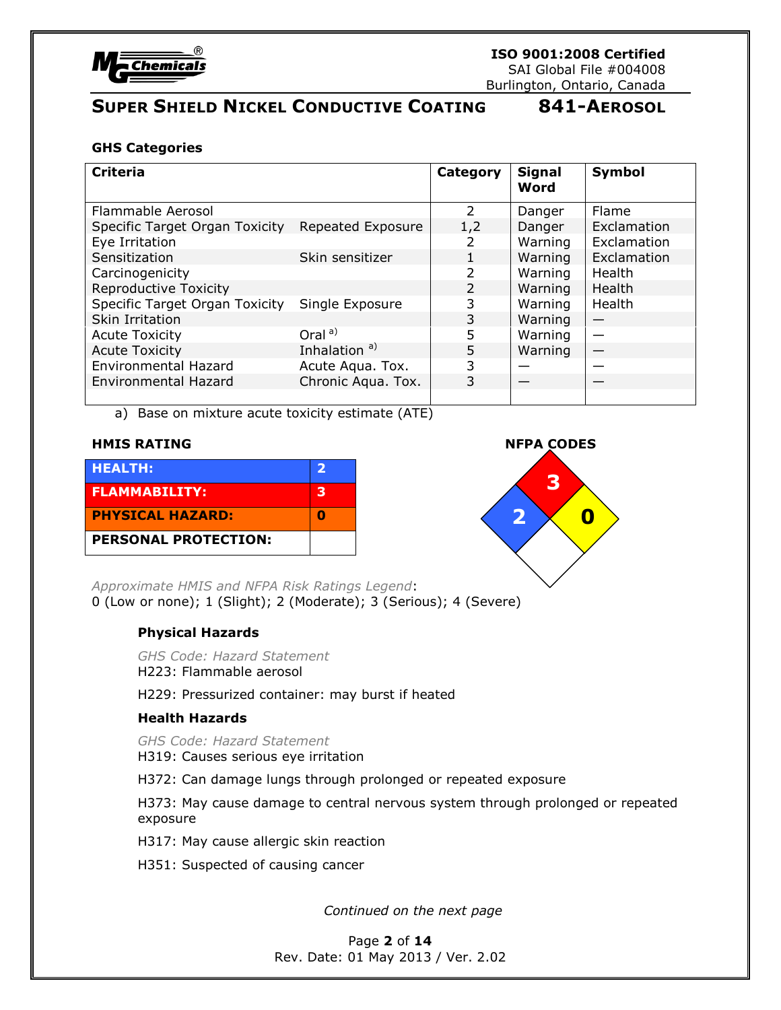

SAI Global File #004008 Burlington, Ontario, Canada

# **SUPER SHIELD NICKEL CONDUCTIVE COATING 841-AEROSOL**

### **GHS Categories**

| <b>Criteria</b>                |                          | Category      | <b>Signal</b><br>Word | Symbol      |
|--------------------------------|--------------------------|---------------|-----------------------|-------------|
| Flammable Aerosol              |                          | $\mathcal{P}$ | Danger                | Flame       |
| Specific Target Organ Toxicity | Repeated Exposure        | 1,2           | Danger                | Exclamation |
| Eye Irritation                 |                          |               | Warning               | Exclamation |
| Sensitization                  | Skin sensitizer          |               | Warning               | Exclamation |
| Carcinogenicity                |                          | 2             | Warning               | Health      |
| Reproductive Toxicity          |                          | 2             | Warning               | Health      |
| Specific Target Organ Toxicity | Single Exposure          | 3             | Warning               | Health      |
| Skin Irritation                |                          | 3             | Warning               |             |
| <b>Acute Toxicity</b>          | Oral <sup>a)</sup>       | 5             | Warning               |             |
| <b>Acute Toxicity</b>          | Inhalation <sup>a)</sup> | 5             | Warning               |             |
| <b>Environmental Hazard</b>    | Acute Aqua. Tox.         | 3             |                       |             |
| Environmental Hazard           | Chronic Aqua. Tox.       | 3             |                       |             |
|                                |                          |               |                       |             |

a) Base on mixture acute toxicity estimate (ATE)

| <b>HEALTH:</b>              | 2 |
|-----------------------------|---|
| <b>FLAMMABILITY:</b>        | з |
| <b>PHYSICAL HAZARD:</b>     | п |
| <b>PERSONAL PROTECTION:</b> |   |



*Approximate HMIS and NFPA Risk Ratings Legend*: 0 (Low or none); 1 (Slight); 2 (Moderate); 3 (Serious); 4 (Severe)

### **Physical Hazards**

*GHS Code: Hazard Statement* H223: Flammable aerosol

H229: Pressurized container: may burst if heated

### **Health Hazards**

*GHS Code: Hazard Statement*

H319: Causes serious eye irritation

H372: Can damage lungs through prolonged or repeated exposure

H373: May cause damage to central nervous system through prolonged or repeated exposure

H317: May cause allergic skin reaction

H351: Suspected of causing cancer

*Continued on the next page*

Page **2** of **14** Rev. Date: 01 May 2013 / Ver. 2.02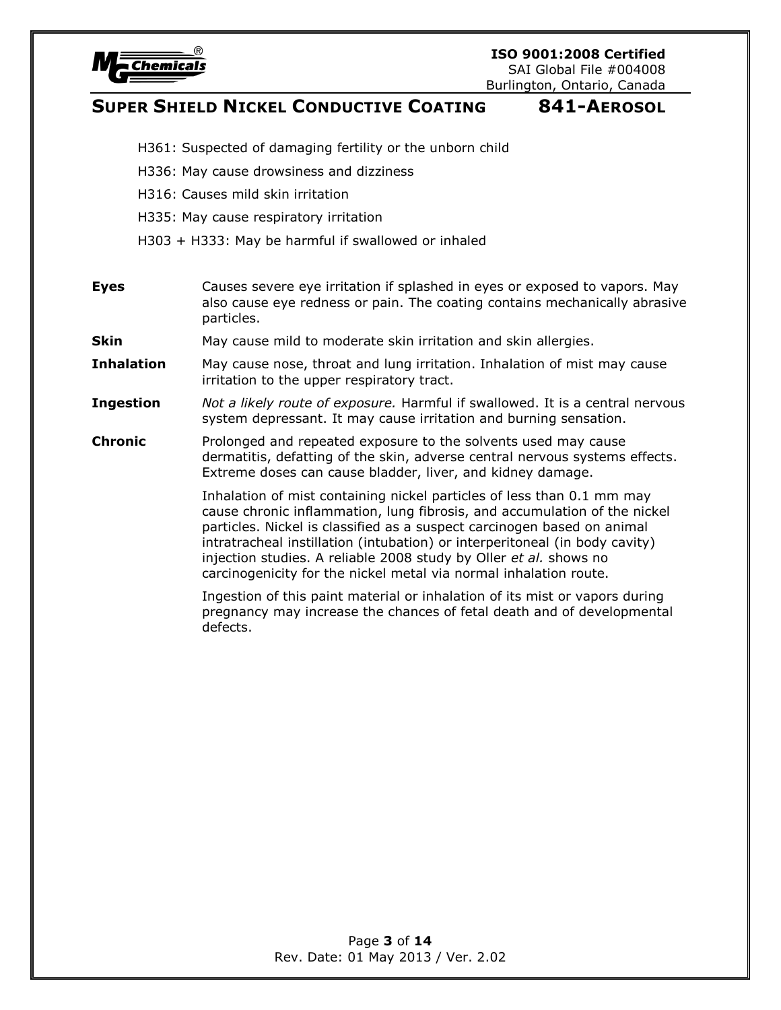

**ISO 9001:2008 Certified** SAI Global File #004008

Burlington, Ontario, Canada

# **SUPER SHIELD NICKEL CONDUCTIVE COATING 841-AEROSOL**

- H361: Suspected of damaging fertility or the unborn child
- H336: May cause drowsiness and dizziness
- H316: Causes mild skin irritation
- H335: May cause respiratory irritation
- H303 + H333: May be harmful if swallowed or inhaled
- **Eyes** Causes severe eye irritation if splashed in eyes or exposed to vapors. May also cause eye redness or pain. The coating contains mechanically abrasive particles.
- **Skin** May cause mild to moderate skin irritation and skin allergies.
- **Inhalation** May cause nose, throat and lung irritation. Inhalation of mist may cause irritation to the upper respiratory tract.
- **Ingestion** *Not a likely route of exposure.* Harmful if swallowed. It is a central nervous system depressant. It may cause irritation and burning sensation.
- **Chronic** Prolonged and repeated exposure to the solvents used may cause dermatitis, defatting of the skin, adverse central nervous systems effects. Extreme doses can cause bladder, liver, and kidney damage.

Inhalation of mist containing nickel particles of less than 0.1 mm may cause chronic inflammation, lung fibrosis, and accumulation of the nickel particles. Nickel is classified as a suspect carcinogen based on animal intratracheal instillation (intubation) or interperitoneal (in body cavity) injection studies. A reliable 2008 study by Oller *et al.* shows no carcinogenicity for the nickel metal via normal inhalation route.

Ingestion of this paint material or inhalation of its mist or vapors during pregnancy may increase the chances of fetal death and of developmental defects.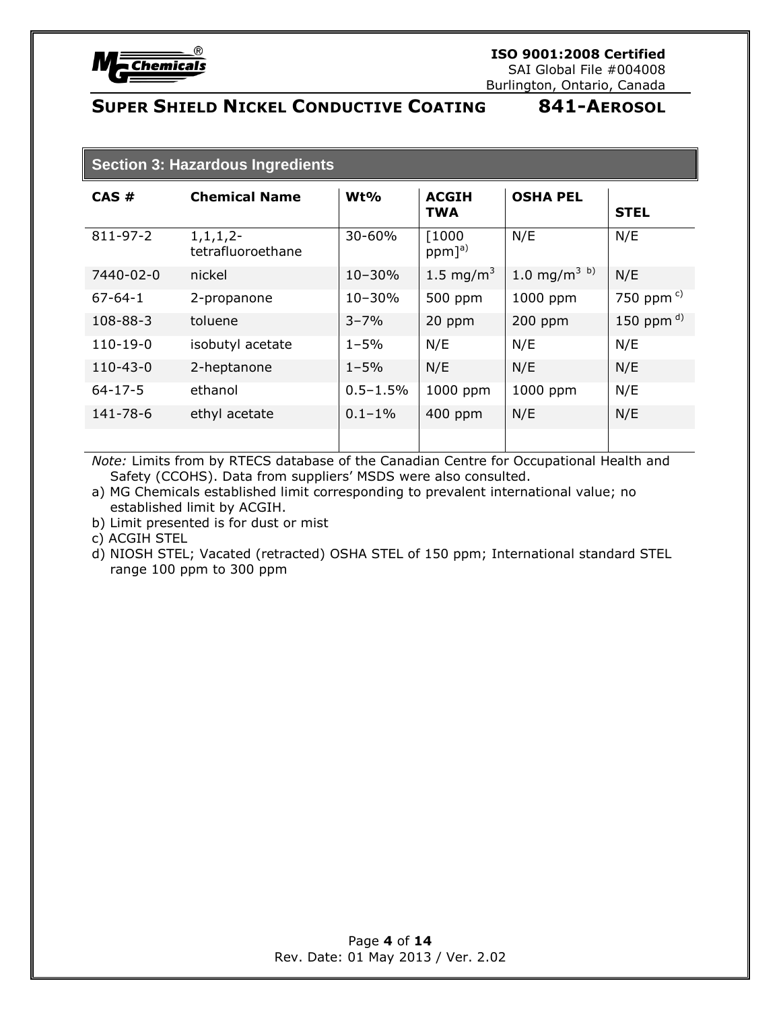

### **Section 3: Hazardous Ingredients**

| CAS#           | <b>Chemical Name</b>                | Wt%          | <b>ACGIH</b><br><b>TWA</b>     | <b>OSHA PEL</b>          | <b>STEL</b>           |
|----------------|-------------------------------------|--------------|--------------------------------|--------------------------|-----------------------|
| 811-97-2       | $1, 1, 1, 2$ -<br>tetrafluoroethane | 30-60%       | [1000]<br>$ppm]$ <sup>a)</sup> | N/E                      | N/E                   |
| 7440-02-0      | nickel                              | $10 - 30%$   | 1.5 mg/m <sup>3</sup>          | 1.0 mg/m <sup>3 b)</sup> | N/E                   |
| $67 - 64 - 1$  | 2-propanone                         | $10 - 30%$   | 500 ppm                        | 1000 ppm                 | 750 ppm $\frac{c}{c}$ |
| 108-88-3       | toluene                             | $3 - 7%$     | 20 ppm                         | 200 ppm                  | 150 ppm $^{d)}$       |
| $110-19-0$     | isobutyl acetate                    | $1 - 5%$     | N/E                            | N/E                      | N/E                   |
| $110 - 43 - 0$ | 2-heptanone                         | $1 - 5%$     | N/E                            | N/E                      | N/E                   |
| $64 - 17 - 5$  | ethanol                             | $0.5 - 1.5%$ | 1000 ppm                       | 1000 ppm                 | N/E                   |
| 141-78-6       | ethyl acetate                       | $0.1 - 1%$   | 400 ppm                        | N/E                      | N/E                   |
|                |                                     |              |                                |                          |                       |

*Note:* Limits from by RTECS database of the Canadian Centre for Occupational Health and Safety (CCOHS). Data from suppliers' MSDS were also consulted.

- a) MG Chemicals established limit corresponding to prevalent international value; no established limit by ACGIH.
- b) Limit presented is for dust or mist
- c) ACGIH STEL
- d) NIOSH STEL; Vacated (retracted) OSHA STEL of 150 ppm; International standard STEL range 100 ppm to 300 ppm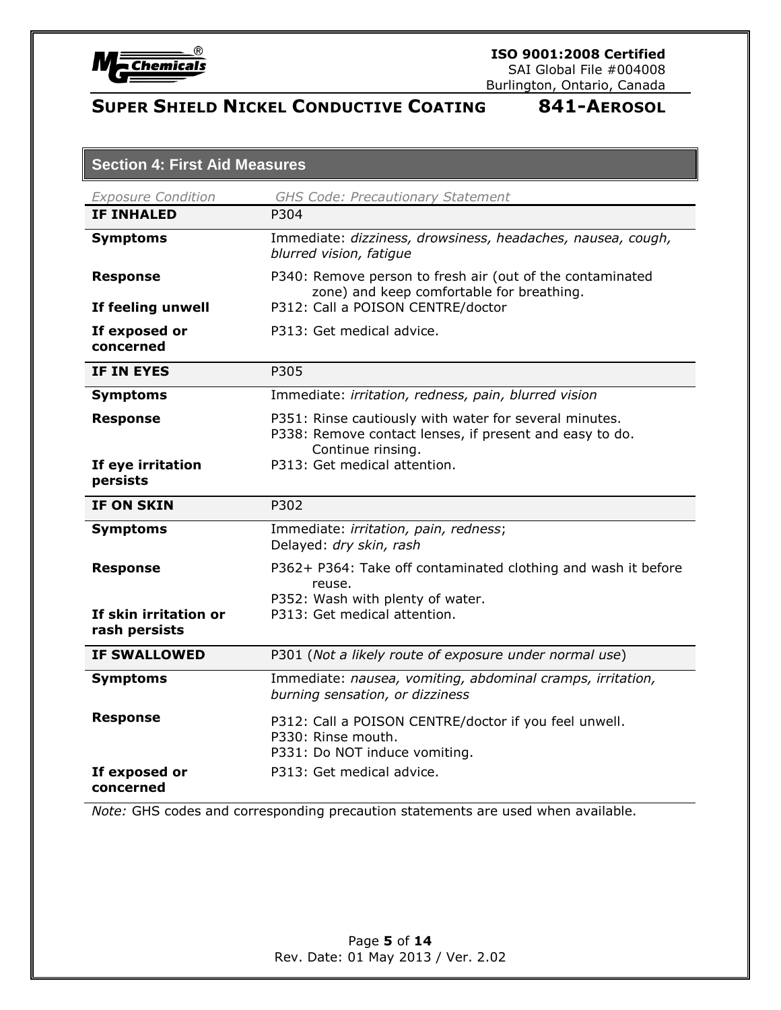

SAI Global File #004008 Burlington, Ontario, Canada

# **SUPER SHIELD NICKEL CONDUCTIVE COATING 841-AEROSOL**

| <b>Section 4: First Aid Measures</b>   |                                                                                                                                        |  |
|----------------------------------------|----------------------------------------------------------------------------------------------------------------------------------------|--|
| <b>Exposure Condition</b>              | <b>GHS Code: Precautionary Statement</b>                                                                                               |  |
| <b>IF INHALED</b>                      | P304                                                                                                                                   |  |
| <b>Symptoms</b>                        | Immediate: dizziness, drowsiness, headaches, nausea, cough,<br>blurred vision, fatigue                                                 |  |
| <b>Response</b>                        | P340: Remove person to fresh air (out of the contaminated<br>zone) and keep comfortable for breathing.                                 |  |
| If feeling unwell                      | P312: Call a POISON CENTRE/doctor                                                                                                      |  |
| If exposed or<br>concerned             | P313: Get medical advice.                                                                                                              |  |
| IF IN EYES                             | P305                                                                                                                                   |  |
| <b>Symptoms</b>                        | Immediate: irritation, redness, pain, blurred vision                                                                                   |  |
| <b>Response</b>                        | P351: Rinse cautiously with water for several minutes.<br>P338: Remove contact lenses, if present and easy to do.<br>Continue rinsing. |  |
| If eye irritation<br>persists          | P313: Get medical attention.                                                                                                           |  |
| <b>IF ON SKIN</b>                      | P302                                                                                                                                   |  |
| <b>Symptoms</b>                        | Immediate: irritation, pain, redness;<br>Delayed: dry skin, rash                                                                       |  |
| <b>Response</b>                        | P362+ P364: Take off contaminated clothing and wash it before<br>reuse.<br>P352: Wash with plenty of water.                            |  |
| If skin irritation or<br>rash persists | P313: Get medical attention.                                                                                                           |  |
| <b>IF SWALLOWED</b>                    | P301 (Not a likely route of exposure under normal use)                                                                                 |  |
| <b>Symptoms</b>                        | Immediate: nausea, vomiting, abdominal cramps, irritation,<br>burning sensation, or dizziness                                          |  |
| <b>Response</b>                        | P312: Call a POISON CENTRE/doctor if you feel unwell.<br>P330: Rinse mouth.<br>P331: Do NOT induce vomiting.                           |  |
| If exposed or<br>concerned             | P313: Get medical advice.                                                                                                              |  |

*Note:* GHS codes and corresponding precaution statements are used when available.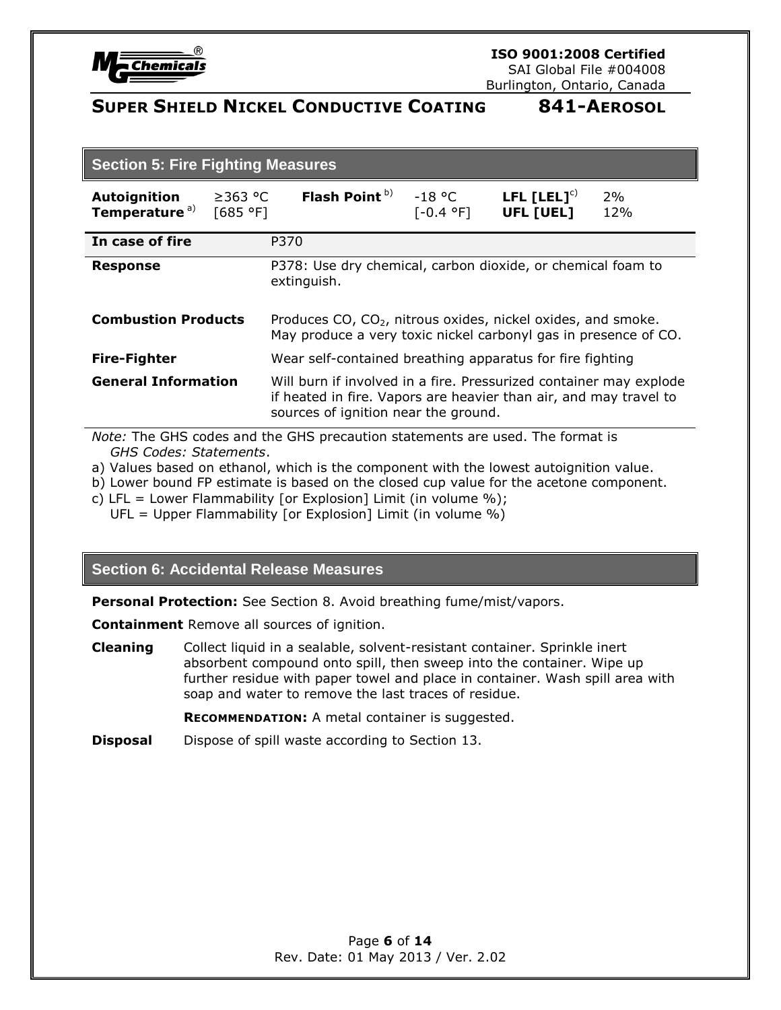

SAI Global File #004008 Burlington, Ontario, Canada

# **SUPER SHIELD NICKEL CONDUCTIVE COATING 841-AEROSOL**

| <b>Section 5: Fire Fighting Measures</b>                                      |                                                                                                                                                                                 |                       |                               |           |
|-------------------------------------------------------------------------------|---------------------------------------------------------------------------------------------------------------------------------------------------------------------------------|-----------------------|-------------------------------|-----------|
| <b>Autoignition</b><br>$\geq$ 363 °C<br>Temperature <sup>a)</sup><br>[685 °F] | Flash Point <sup>b)</sup>                                                                                                                                                       | -18 °C<br>$[-0.4 °F]$ | LFL $[LEL]^{c)}$<br>UFL [UEL] | 2%<br>12% |
| In case of fire                                                               | P370                                                                                                                                                                            |                       |                               |           |
| <b>Response</b>                                                               | P378: Use dry chemical, carbon dioxide, or chemical foam to<br>extinguish.                                                                                                      |                       |                               |           |
| <b>Combustion Products</b>                                                    | Produces CO, $CO2$ , nitrous oxides, nickel oxides, and smoke.<br>May produce a very toxic nickel carbonyl gas in presence of CO.                                               |                       |                               |           |
| <b>Fire-Fighter</b>                                                           | Wear self-contained breathing apparatus for fire fighting                                                                                                                       |                       |                               |           |
| <b>General Information</b>                                                    | Will burn if involved in a fire. Pressurized container may explode<br>if heated in fire. Vapors are heavier than air, and may travel to<br>sources of ignition near the ground. |                       |                               |           |

*Note:* The GHS codes and the GHS precaution statements are used. The format is *GHS Codes: Statements*.

- a) Values based on ethanol, which is the component with the lowest autoignition value.
- b) Lower bound FP estimate is based on the closed cup value for the acetone component.
- c) LFL = Lower Flammability [or Explosion] Limit (in volume %);
	- UFL = Upper Flammability [or Explosion] Limit (in volume %)

### **Section 6: Accidental Release Measures**

**Personal Protection:** See Section 8. Avoid breathing fume/mist/vapors.

**Containment** Remove all sources of ignition.

**Cleaning** Collect liquid in a sealable, solvent-resistant container. Sprinkle inert absorbent compound onto spill, then sweep into the container. Wipe up further residue with paper towel and place in container. Wash spill area with soap and water to remove the last traces of residue.

**RECOMMENDATION:** A metal container is suggested.

**Disposal** Dispose of spill waste according to Section 13.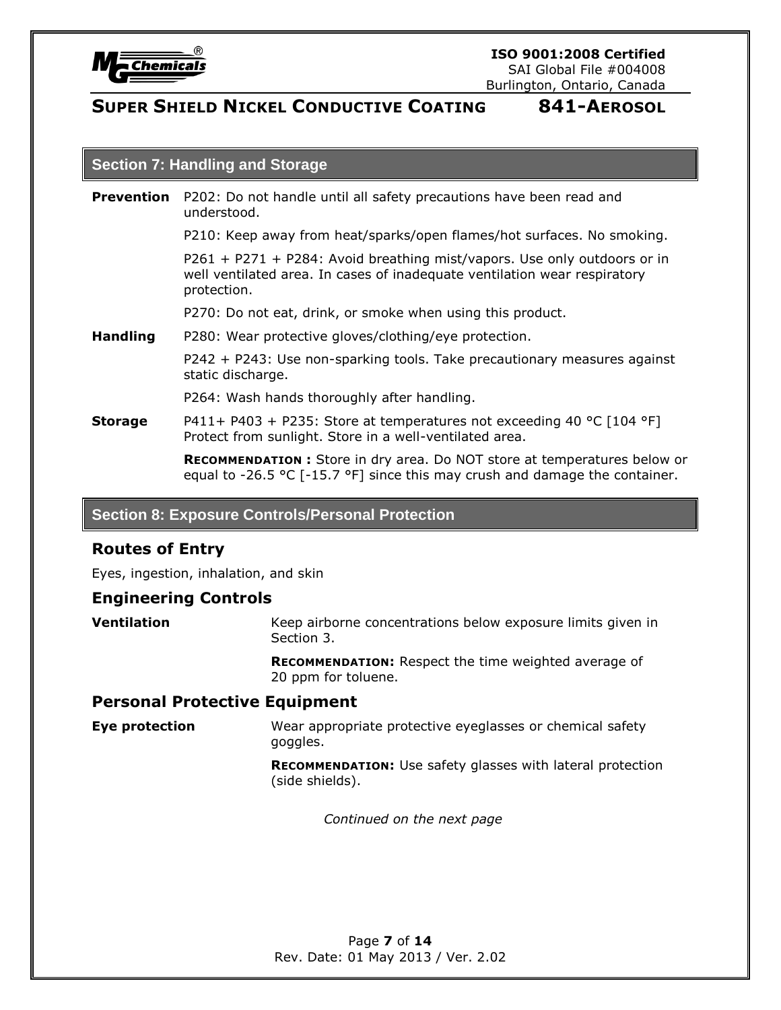

### **Section 7: Handling and Storage**

| <b>Prevention</b> P202: Do not handle until all safety precautions have been read and |
|---------------------------------------------------------------------------------------|
| understood.                                                                           |

P210: Keep away from heat/sparks/open flames/hot surfaces. No smoking.

P261 + P271 + P284: Avoid breathing mist/vapors. Use only outdoors or in well ventilated area. In cases of inadequate ventilation wear respiratory protection.

P270: Do not eat, drink, or smoke when using this product.

**Handling** P280: Wear protective gloves/clothing/eye protection.

P242 + P243: Use non-sparking tools. Take precautionary measures against static discharge.

P264: Wash hands thoroughly after handling.

**Storage** P411+ P403 + P235: Store at temperatures not exceeding 40 °C [104 °F] Protect from sunlight. Store in a well-ventilated area.

> **RECOMMENDATION :** Store in dry area. Do NOT store at temperatures below or equal to -26.5 °C  $[-15.7 \text{ °F}]$  since this may crush and damage the container.

### **Section 8: Exposure Controls/Personal Protection**

### **Routes of Entry**

Eyes, ingestion, inhalation, and skin

### **Engineering Controls**

**Ventilation** Keep airborne concentrations below exposure limits given in Section 3.

> **RECOMMENDATION:** Respect the time weighted average of 20 ppm for toluene.

### **Personal Protective Equipment**

**Eye protection** Wear appropriate protective eyeglasses or chemical safety goggles.

> **RECOMMENDATION:** Use safety glasses with lateral protection (side shields).

> > *Continued on the next page*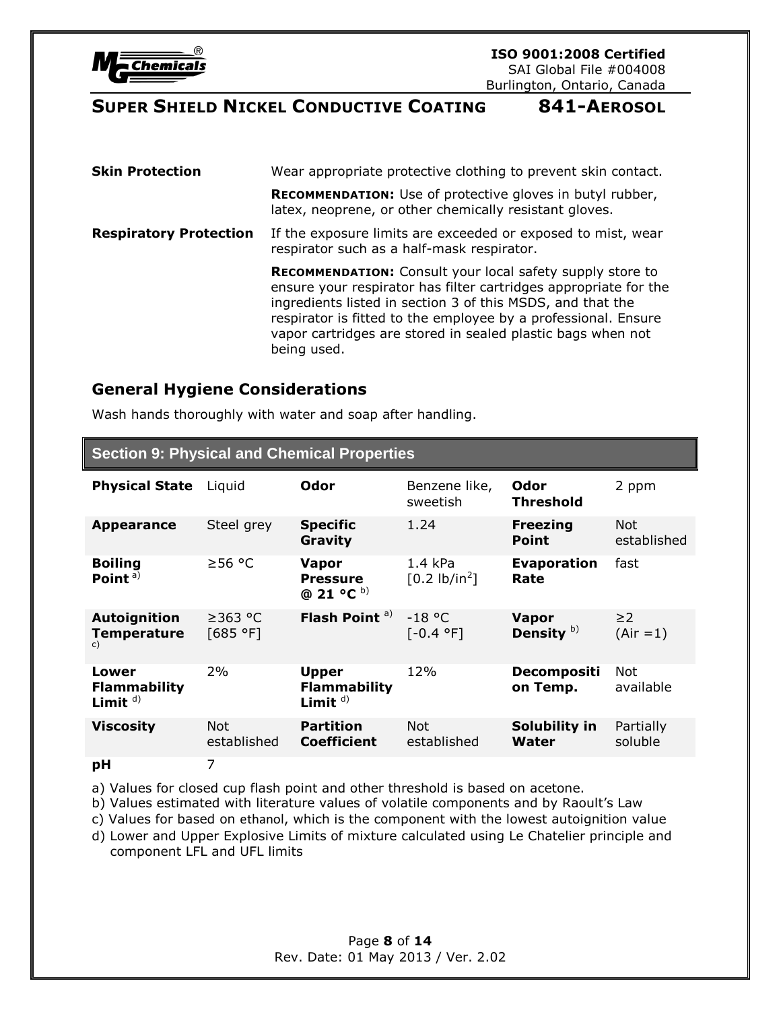

| <b>Skin Protection</b>        | Wear appropriate protective clothing to prevent skin contact.                                                                                                                                                                                                                                                                                      |  |
|-------------------------------|----------------------------------------------------------------------------------------------------------------------------------------------------------------------------------------------------------------------------------------------------------------------------------------------------------------------------------------------------|--|
|                               | <b>RECOMMENDATION:</b> Use of protective gloves in butyl rubber,<br>latex, neoprene, or other chemically resistant gloves.                                                                                                                                                                                                                         |  |
| <b>Respiratory Protection</b> | If the exposure limits are exceeded or exposed to mist, wear<br>respirator such as a half-mask respirator.                                                                                                                                                                                                                                         |  |
|                               | <b>RECOMMENDATION:</b> Consult your local safety supply store to<br>ensure your respirator has filter cartridges appropriate for the<br>ingredients listed in section 3 of this MSDS, and that the<br>respirator is fitted to the employee by a professional. Ensure<br>vapor cartridges are stored in sealed plastic bags when not<br>being used. |  |

### **General Hygiene Considerations**

Wash hands thoroughly with water and soap after handling.

| <b>Section 9: Physical and Chemical Properties</b> |                           |                                                    |                                    |                                 |                           |
|----------------------------------------------------|---------------------------|----------------------------------------------------|------------------------------------|---------------------------------|---------------------------|
| <b>Physical State</b>                              | Liquid                    | Odor                                               | Benzene like,<br>sweetish          | Odor<br><b>Threshold</b>        | 2 ppm                     |
| <b>Appearance</b>                                  | Steel grey                | <b>Specific</b><br>Gravity                         | 1.24                               | <b>Freezing</b><br><b>Point</b> | <b>Not</b><br>established |
| <b>Boiling</b><br>Point <sup>a)</sup>              | ≥56 °C                    | <b>Vapor</b><br><b>Pressure</b><br>@ 21 °C b)      | 1.4 kPa<br>$[0.2 \text{ lb/in}^2]$ | <b>Evaporation</b><br>Rate      | fast                      |
| <b>Autoignition</b><br><b>Temperature</b><br>c)    | ≥363 °C<br>[685 °F]       | Flash Point <sup>a)</sup>                          | $-18$ °C<br>$[-0.4$ °F]            | <b>Vapor</b><br>Density $b)$    | $\geq$ 2<br>$(Air = 1)$   |
| Lower<br><b>Flammability</b><br>Limit $d$ )        | 2%                        | <b>Upper</b><br><b>Flammability</b><br>Limit $d$ ) | 12%                                | <b>Decompositi</b><br>on Temp.  | Not.<br>available         |
| <b>Viscosity</b>                                   | <b>Not</b><br>established | <b>Partition</b><br><b>Coefficient</b>             | <b>Not</b><br>established          | Solubility in<br>Water          | Partially<br>soluble      |
| рH                                                 | 7                         |                                                    |                                    |                                 |                           |

a) Values for closed cup flash point and other threshold is based on acetone.

b) Values estimated with literature values of volatile components and by Raoult's Law

c) Values for based on ethanol, which is the component with the lowest autoignition value

d) Lower and Upper Explosive Limits of mixture calculated using Le Chatelier principle and component LFL and UFL limits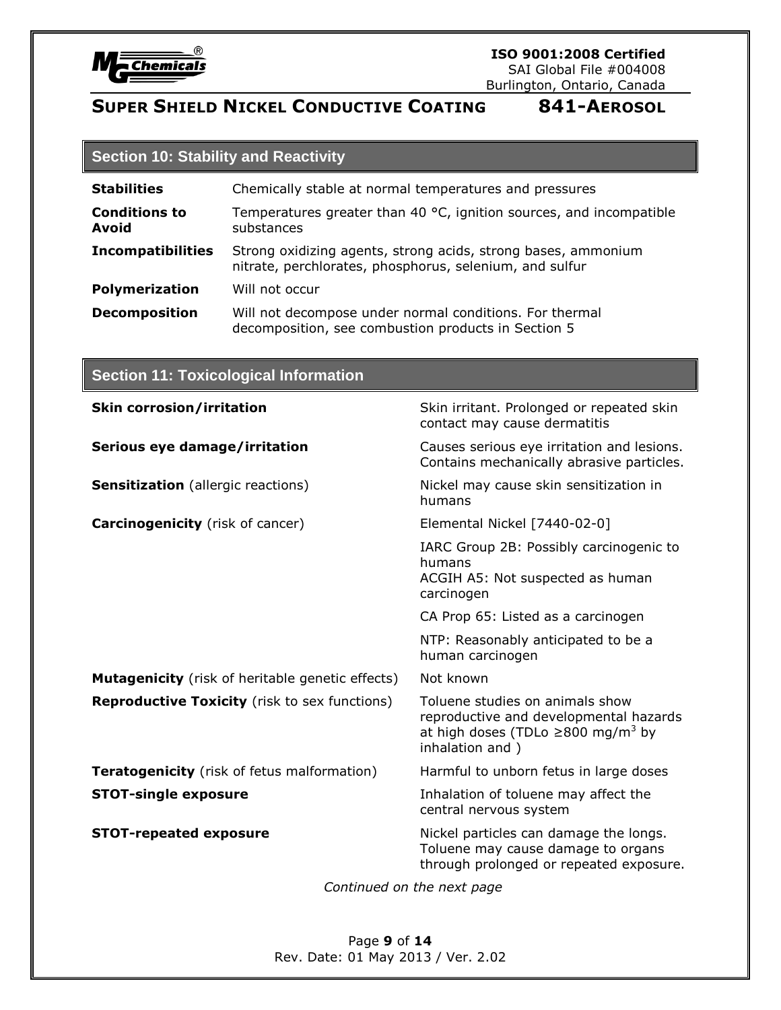

### **ISO 9001:2008 Certified**

SAI Global File #004008 Burlington, Ontario, Canada

# **SUPER SHIELD NICKEL CONDUCTIVE COATING 841-AEROSOL**

# **Section 10: Stability and Reactivity**

| <b>Stabilities</b>            | Chemically stable at normal temperatures and pressures                                                                   |  |  |
|-------------------------------|--------------------------------------------------------------------------------------------------------------------------|--|--|
| <b>Conditions to</b><br>Avoid | Temperatures greater than 40 °C, ignition sources, and incompatible<br>substances                                        |  |  |
| <b>Incompatibilities</b>      | Strong oxidizing agents, strong acids, strong bases, ammonium<br>nitrate, perchlorates, phosphorus, selenium, and sulfur |  |  |
| <b>Polymerization</b>         | Will not occur                                                                                                           |  |  |
| <b>Decomposition</b>          | Will not decompose under normal conditions. For thermal<br>decomposition, see combustion products in Section 5           |  |  |

# **Section 11: Toxicological Information**

| <b>Skin corrosion/irritation</b>                        | Skin irritant. Prolonged or repeated skin<br>contact may cause dermatitis                                                                           |
|---------------------------------------------------------|-----------------------------------------------------------------------------------------------------------------------------------------------------|
| Serious eye damage/irritation                           | Causes serious eye irritation and lesions.<br>Contains mechanically abrasive particles.                                                             |
| <b>Sensitization</b> (allergic reactions)               | Nickel may cause skin sensitization in<br>humans                                                                                                    |
| <b>Carcinogenicity</b> (risk of cancer)                 | Elemental Nickel [7440-02-0]                                                                                                                        |
|                                                         | IARC Group 2B: Possibly carcinogenic to<br>humans<br>ACGIH A5: Not suspected as human<br>carcinogen                                                 |
|                                                         | CA Prop 65: Listed as a carcinogen                                                                                                                  |
|                                                         | NTP: Reasonably anticipated to be a<br>human carcinogen                                                                                             |
| <b>Mutagenicity</b> (risk of heritable genetic effects) | Not known                                                                                                                                           |
| <b>Reproductive Toxicity</b> (risk to sex functions)    | Toluene studies on animals show<br>reproductive and developmental hazards<br>at high doses (TDLo $\geq$ 800 mg/m <sup>3</sup> by<br>inhalation and) |
| <b>Teratogenicity</b> (risk of fetus malformation)      | Harmful to unborn fetus in large doses                                                                                                              |
| <b>STOT-single exposure</b>                             | Inhalation of toluene may affect the<br>central nervous system                                                                                      |
| <b>STOT-repeated exposure</b>                           | Nickel particles can damage the longs.<br>Toluene may cause damage to organs<br>through prolonged or repeated exposure.<br>$\mathbf{r}$             |

*Continued on the next page*

Page **9** of **14** Rev. Date: 01 May 2013 / Ver. 2.02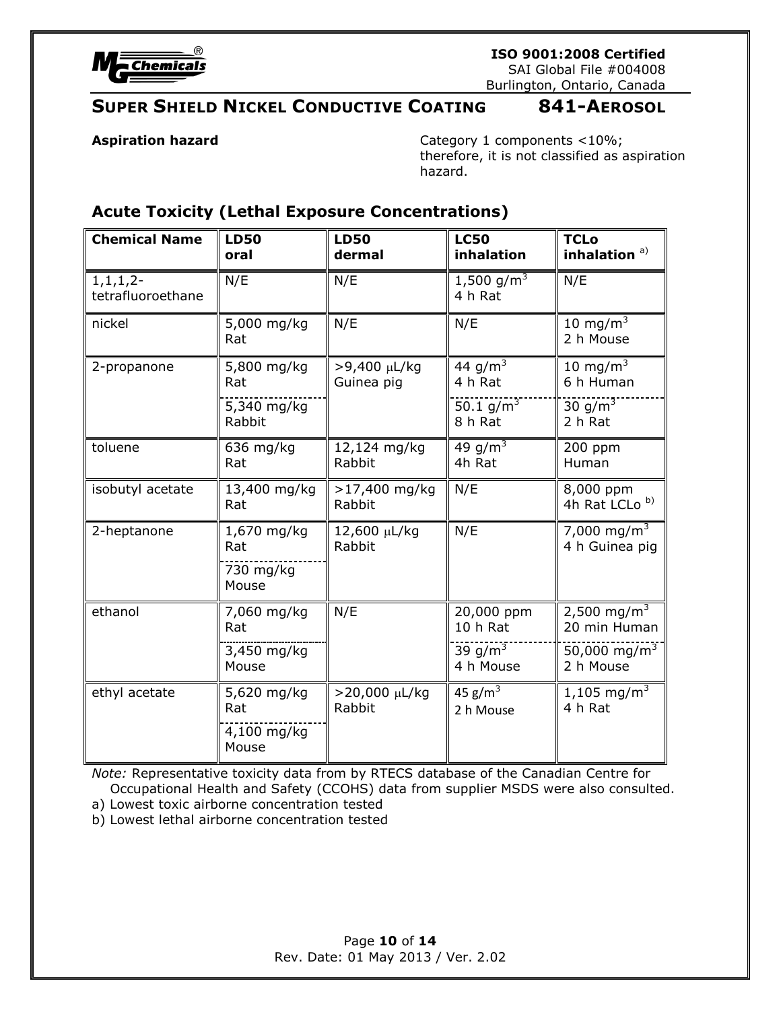

**ISO 9001:2008 Certified**

SAI Global File #004008 Burlington, Ontario, Canada

# **SUPER SHIELD NICKEL CONDUCTIVE COATING 841-AEROSOL**

**Aspiration hazard Category 1 components <10%;** therefore, it is not classified as aspiration hazard.

# **Acute Toxicity (Lethal Exposure Concentrations)**

| <b>Chemical Name</b>               | <b>LD50</b><br>oral                        | <b>LD50</b><br>dermal      | <b>LC50</b><br>inhalation         | <b>TCLo</b><br>inhalation <sup>a)</sup>   |
|------------------------------------|--------------------------------------------|----------------------------|-----------------------------------|-------------------------------------------|
| $1, 1, 1, 2-$<br>tetrafluoroethane | N/E                                        | N/E                        | 1,500 g/m <sup>3</sup><br>4 h Rat | N/E                                       |
| nickel                             | 5,000 mg/kg<br>Rat                         | N/E                        | N/E                               | 10 mg/m $3$<br>2 h Mouse                  |
| 2-propanone                        | 5,800 mg/kg<br>Rat                         | >9,400 µL/kg<br>Guinea pig | 44 g/m <sup>3</sup><br>4 h Rat    | 10 mg/m <sup>3</sup><br>6 h Human         |
|                                    | 5,340 mg/kg<br>Rabbit                      |                            | 50.1 $g/m^3$<br>8 h Rat           | 30 g/m <sup>3</sup><br>2 h Rat            |
| toluene                            | 636 mg/kg<br>Rat                           | 12,124 mg/kg<br>Rabbit     | 49 $g/m^3$<br>4h Rat              | 200 ppm<br>Human                          |
| isobutyl acetate                   | 13,400 mg/kg<br>Rat                        | >17,400 mg/kg<br>Rabbit    | N/E                               | 8,000 ppm<br>4h Rat LCLo <sup>b)</sup>    |
| 2-heptanone                        | 1,670 mg/kg<br>Rat<br>730 mg/kg<br>Mouse   | 12,600 µL/kg<br>Rabbit     | N/E                               | 7,000 mg/m <sup>3</sup><br>4 h Guinea pig |
| ethanol                            | 7,060 mg/kg<br>Rat                         | N/E                        | 20,000 ppm<br>10 h Rat            | 2,500 mg/m <sup>3</sup><br>20 min Human   |
|                                    | 3,450 mg/kg<br>Mouse                       |                            | 39 g/m <sup>3</sup><br>4 h Mouse  | $50,000 \text{ mg/m}^3$<br>2 h Mouse      |
| ethyl acetate                      | 5,620 mg/kg<br>Rat<br>4,100 mg/kg<br>Mouse | >20,000 µL/kg<br>Rabbit    | 45 $g/m^3$<br>2 h Mouse           | 1,105 mg/m <sup>3</sup><br>4 h Rat        |

*Note:* Representative toxicity data from by RTECS database of the Canadian Centre for Occupational Health and Safety (CCOHS) data from supplier MSDS were also consulted.

a) Lowest toxic airborne concentration tested

b) Lowest lethal airborne concentration tested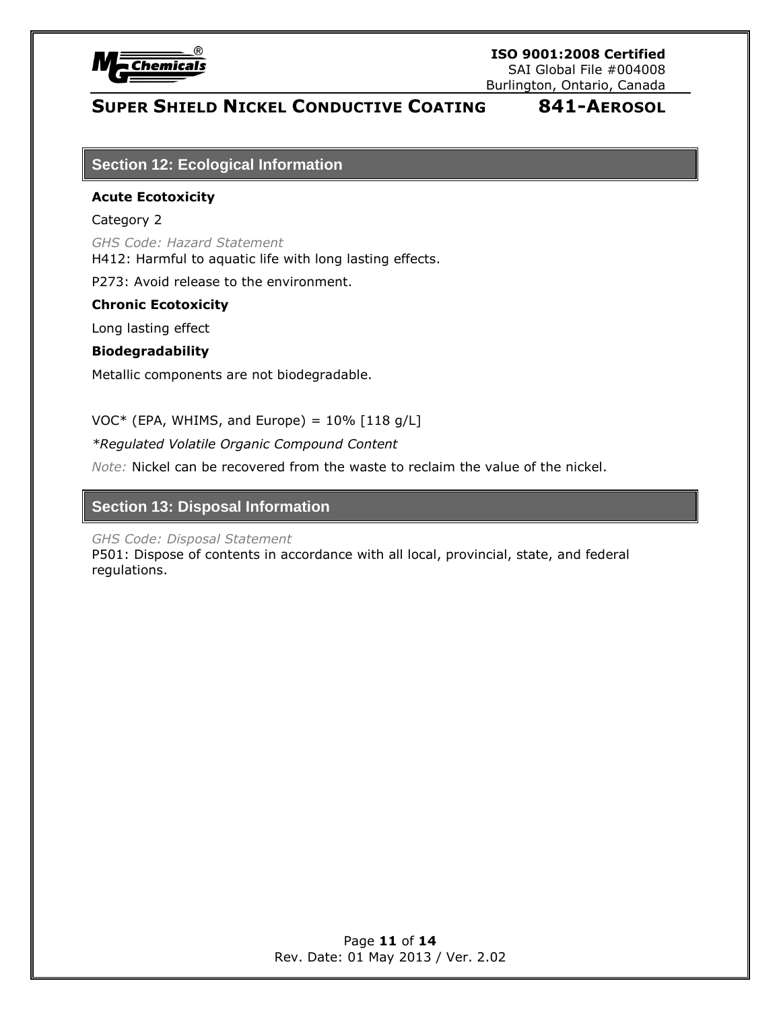

Burlington, Ontario, Canada

# **SUPER SHIELD NICKEL CONDUCTIVE COATING 841-AEROSOL**

### **Section 12: Ecological Information**

### **Acute Ecotoxicity**

### Category 2

*GHS Code: Hazard Statement* H412: Harmful to aquatic life with long lasting effects.

P273: Avoid release to the environment.

### **Chronic Ecotoxicity**

Long lasting effect

### **Biodegradability**

Metallic components are not biodegradable.

 $VOC*$  (EPA, WHIMS, and Europe) =  $10\%$  [118 g/L]

*\*Regulated Volatile Organic Compound Content* 

*Note:* Nickel can be recovered from the waste to reclaim the value of the nickel.

### **Section 13: Disposal Information**

*GHS Code: Disposal Statement*

P501: Dispose of contents in accordance with all local, provincial, state, and federal regulations.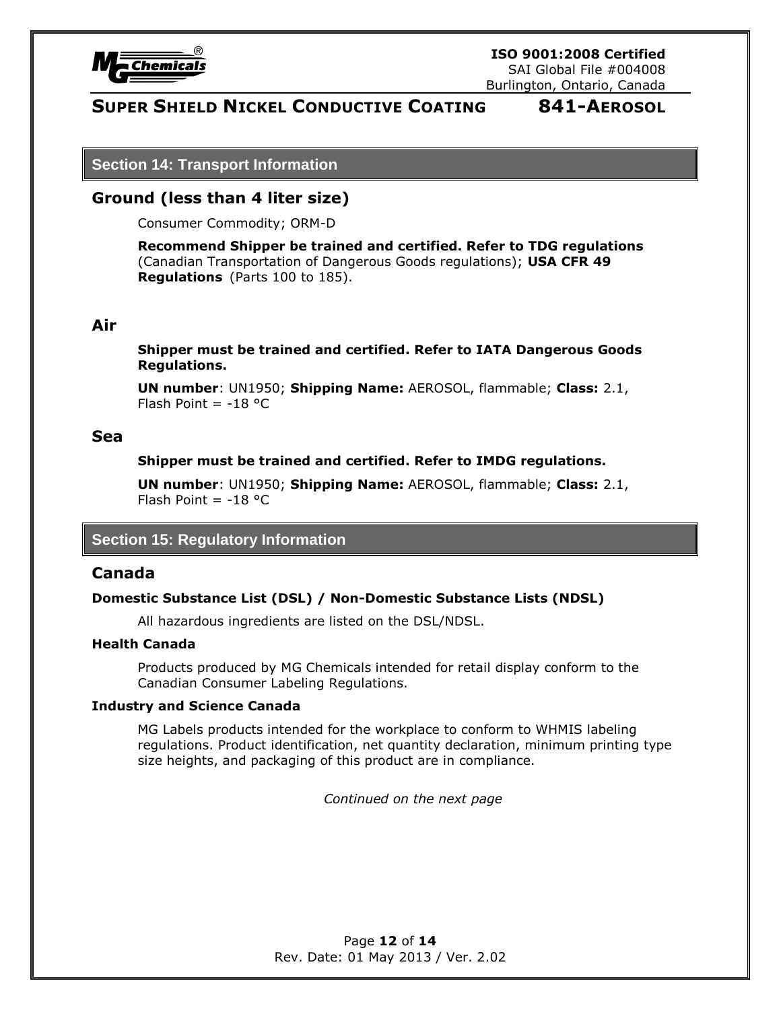

**Section 14: Transport Information**

### **Ground (less than 4 liter size)**

Consumer Commodity; ORM-D

**Recommend Shipper be trained and certified. Refer to TDG regulations** (Canadian Transportation of Dangerous Goods regulations); **USA CFR 49 Regulations** (Parts 100 to 185).

### **Air**

**Shipper must be trained and certified. Refer to IATA Dangerous Goods Regulations.**

**UN number**: UN1950; **Shipping Name:** AEROSOL, flammable; **Class:** 2.1, Flash Point =  $-18$  °C

### **Sea**

### **Shipper must be trained and certified. Refer to IMDG regulations.**

**UN number**: UN1950; **Shipping Name:** AEROSOL, flammable; **Class:** 2.1, Flash Point  $= -18$  °C

### **Section 15: Regulatory Information**

### **Canada**

### **Domestic Substance List (DSL) / Non-Domestic Substance Lists (NDSL)**

All hazardous ingredients are listed on the DSL/NDSL.

### **Health Canada**

Products produced by MG Chemicals intended for retail display conform to the Canadian Consumer Labeling Regulations.

### **Industry and Science Canada**

MG Labels products intended for the workplace to conform to WHMIS labeling regulations. Product identification, net quantity declaration, minimum printing type size heights, and packaging of this product are in compliance.

*Continued on the next page*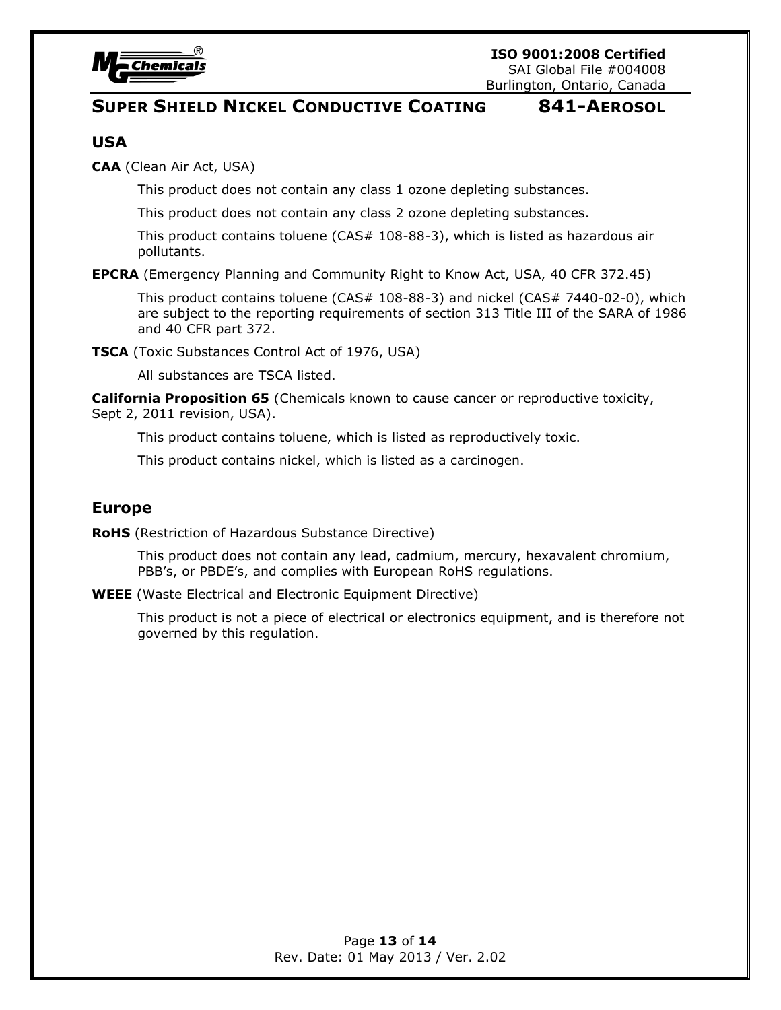

### **USA**

**CAA** (Clean Air Act, USA)

This product does not contain any class 1 ozone depleting substances.

This product does not contain any class 2 ozone depleting substances.

This product contains toluene (CAS# 108-88-3), which is listed as hazardous air pollutants.

**EPCRA** (Emergency Planning and Community Right to Know Act, USA, 40 CFR 372.45)

This product contains toluene (CAS# 108-88-3) and nickel (CAS# 7440-02-0), which are subject to the reporting requirements of section 313 Title III of the SARA of 1986 and 40 CFR part 372.

**TSCA** (Toxic Substances Control Act of 1976, USA)

All substances are TSCA listed.

**California Proposition 65** (Chemicals known to cause cancer or reproductive toxicity, Sept 2, 2011 revision, USA).

This product contains toluene, which is listed as reproductively toxic.

This product contains nickel, which is listed as a carcinogen.

### **Europe**

**RoHS** (Restriction of Hazardous Substance Directive)

This product does not contain any lead, cadmium, mercury, hexavalent chromium, PBB's, or PBDE's, and complies with European RoHS regulations.

**WEEE** (Waste Electrical and Electronic Equipment Directive)

This product is not a piece of electrical or electronics equipment, and is therefore not governed by this regulation.